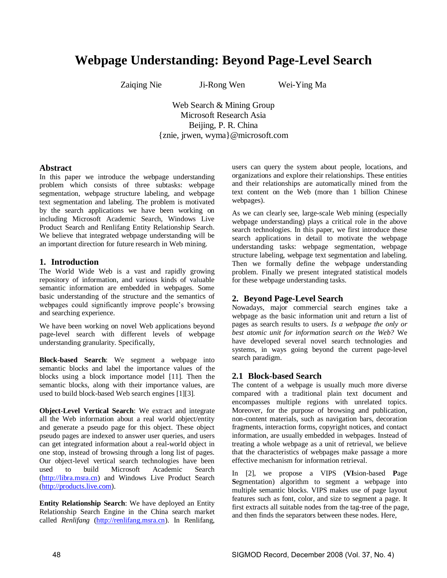# **Webpage Understanding: Beyond Page-Level Search**

Zaiqing Nie Ji-Rong Wen Wei-Ying Ma

Web Search & Mining Group Microsoft Research Asia Beijing, P. R. China {znie, jrwen, wyma}@microsoft.com

#### **Abstract**

In this paper we introduce the webpage understanding problem which consists of three subtasks: webpage segmentation, webpage structure labeling, and webpage text segmentation and labeling. The problem is motivated by the search applications we have been working on including Microsoft Academic Search, Windows Live Product Search and Renlifang Entity Relationship Search. We believe that integrated webpage understanding will be an important direction for future research in Web mining.

### **1. Introduction**

The World Wide Web is a vast and rapidly growing repository of information, and various kinds of valuable semantic information are embedded in webpages. Some basic understanding of the structure and the semantics of webpages could significantly improve people's browsing and searching experience.

We have been working on novel Web applications beyond page-level search with different levels of webpage understanding granularity. Specifically,

**Block-based Search**: We segment a webpage into semantic blocks and label the importance values of the blocks using a block importance model [11]. Then the semantic blocks, along with their importance values, are used to build block-based Web search engines [1][3].

**Object-Level Vertical Search**: We extract and integrate all the Web information about a real world object/entity and generate a pseudo page for this object. These object pseudo pages are indexed to answer user queries, and users can get integrated information about a real-world object in one stop, instead of browsing through a long list of pages. Our object-level vertical search technologies have been used to build Microsoft Academic Search [\(http://libra.msra.cn\)](http://libra.msra.cn/) and Windows Live Product Search [\(http://products.live.com\)](http://products.live.com/).

**Entity Relationship Search**: We have deployed an Entity Relationship Search Engine in the China search market called *Renlifang* [\(http://renlifang.msra.cn\)](http://renlifang.msra.cn/). In Renlifang,

users can query the system about people, locations, and organizations and explore their relationships. These entities and their relationships are automatically mined from the text content on the Web (more than 1 billion Chinese webpages).

As we can clearly see, large-scale Web mining (especially webpage understanding) plays a critical role in the above search technologies. In this paper, we first introduce these search applications in detail to motivate the webpage understanding tasks: webpage segmentation, webpage structure labeling, webpage text segmentation and labeling. Then we formally define the webpage understanding problem. Finally we present integrated statistical models for these webpage understanding tasks.

### **2. Beyond Page-Level Search**

Nowadays, major commercial search engines take a webpage as the basic information unit and return a list of pages as search results to users. *Is a webpage the only or best atomic unit for information search on the Web?* We have developed several novel search technologies and systems, in ways going beyond the current page-level search paradigm.

### **2.1 Block-based Search**

The content of a webpage is usually much more diverse compared with a traditional plain text document and encompasses multiple regions with unrelated topics. Moreover, for the purpose of browsing and publication, non-content materials, such as navigation bars, decoration fragments, interaction forms, copyright notices, and contact information, are usually embedded in webpages. Instead of treating a whole webpage as a unit of retrieval, we believe that the characteristics of webpages make passage a more effective mechanism for information retrieval.

In [2], we propose a VIPS (**VI**sion-based **P**age **S**egmentation) algorithm to segment a webpage into multiple semantic blocks. VIPS makes use of page layout features such as font, color, and size to segment a page. It first extracts all suitable nodes from the tag-tree of the page, and then finds the separators between these nodes. Here,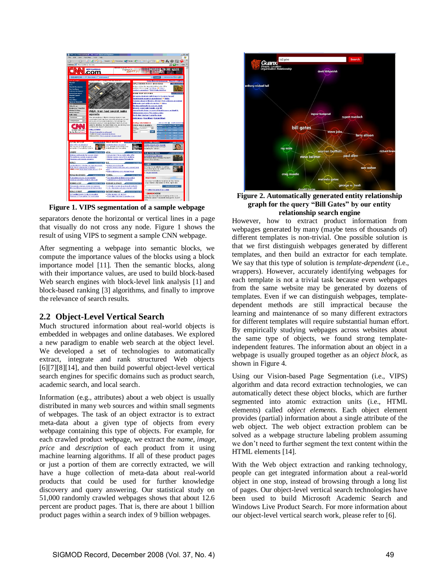

**Figure 1. VIPS segmentation of a sample webpage**

separators denote the horizontal or vertical lines in a page that visually do not cross any node. Figure 1 shows the result of using VIPS to segment a sample CNN webpage.

After segmenting a webpage into semantic blocks, we compute the importance values of the blocks using a block importance model [11]. Then the semantic blocks, along with their importance values, are used to build block-based Web search engines with block-level link analysis [1] and block-based ranking [3] algorithms, and finally to improve the relevance of search results.

## **2.2 Object-Level Vertical Search**

Much structured information about real-world objects is embedded in webpages and online databases. We explored a new paradigm to enable web search at the object level. We developed a set of technologies to automatically extract, integrate and rank structured Web objects [6][7][8][14], and then build powerful object-level vertical search engines for specific domains such as product search, academic search, and local search.

Information (e.g., attributes) about a web object is usually distributed in many web sources and within small segments of webpages. The task of an object extractor is to extract meta-data about a given type of objects from every webpage containing this type of objects. For example, for each crawled product webpage, we extract the *name*, *image*, *price* and *description* of each product from it using machine learning algorithms. If all of these product pages or just a portion of them are correctly extracted, we will have a huge collection of meta-data about real-world products that could be used for further knowledge discovery and query answering. Our statistical study on 51,000 randomly crawled webpages shows that about 12.6 percent are product pages. That is, there are about 1 billion product pages within a search index of 9 billion webpages.



**Figure 2. Automatically generated entity relationship graph for the query "Bill Gates" by our entity relationship search engine** 

However, how to extract product information from webpages generated by many (maybe tens of thousands of) different templates is non-trivial. One possible solution is that we first distinguish webpages generated by different templates, and then build an extractor for each template. We say that this type of solution is *template-dependent* (i.e., wrappers). However, accurately identifying webpages for each template is not a trivial task because even webpages from the same website may be generated by dozens of templates. Even if we can distinguish webpages, templatedependent methods are still impractical because the learning and maintenance of so many different extractors for different templates will require substantial human effort. By empirically studying webpages across websites about the same type of objects, we found strong templateindependent features. The information about an object in a webpage is usually grouped together as an *object block*, as shown in Figure 4.

Using our Vision-based Page Segmentation (i.e., VIPS) algorithm and data record extraction technologies, we can automatically detect these object blocks, which are further segmented into atomic extraction units (i.e., HTML elements) called *object elements*. Each object element provides (partial) information about a single attribute of the web object. The web object extraction problem can be solved as a webpage structure labeling problem assuming we don't need to further segment the text content within the HTML elements [14].

With the Web object extraction and ranking technology, people can get integrated information about a real-world object in one stop, instead of browsing through a long list of pages. Our object-level vertical search technologies have been used to build Microsoft Academic Search and Windows Live Product Search. For more information about our object-level vertical search work, please refer to [6].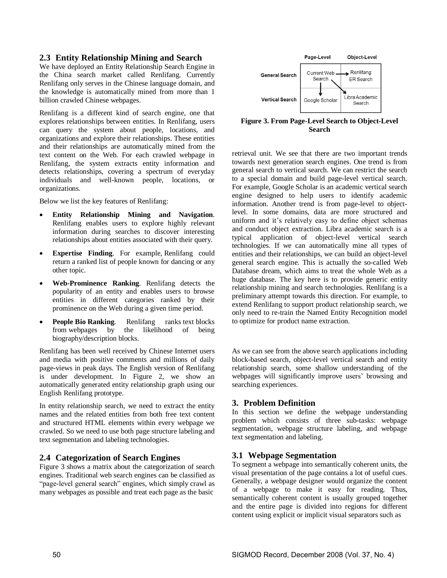## **2.3 Entity Relationship Mining and Search**

We have deployed an Entity Relationship Search Engine in the China search market called Renlifang. Currently Renlifang only serves in the Chinese language domain, and the knowledge is automatically mined from more than 1 billion crawled Chinese webpages.

Renlifang is a different kind of search engine, one that explores relationships between entities. In Renlifang, users can query the system about people, locations, and organizations and explore their relationships. These entities and their relationships are automatically mined from the text content on the Web. For each crawled webpage in Renlifang, the system extracts entity information and detects relationships, covering a spectrum of everyday individuals and well-known people, locations, or organizations.

Below we list the key features of Renlifang:

- **Entity Relationship Mining and Navigation**. Renlifang enables users to explore highly relevant information during searches to discover interesting relationships about entities associated with their query.
- **Expertise Finding**. For example, Renlifang could return a ranked list of people known for dancing or any other topic.
- **Web-Prominence Ranking**. Renlifang detects the popularity of an entity and enables users to browse entities in different categories ranked by their prominence on the Web during a given time period.
- **People Bio Ranking.** Renlifang ranks text blocks from webpages by the likelihood of being biography/description blocks.

Renlifang has been well received by Chinese Internet users and media with positive comments and millions of daily page-views in peak days. The English version of Renlifang is under development. In Figure 2, we show an automatically generated entity relationship graph using our English Renlifang prototype.

In entity relationship search, we need to extract the entity names and the related entities from both free text content and structured HTML elements within every webpage we crawled. So we need to use both page structure labeling and text segmentation and labeling technologies.

## **2.4 Categorization of Search Engines**

Figure 3 shows a matrix about the categorization of search engines. Traditional web search engines can be classified as "page-level general search" engines, which simply crawl as many webpages as possible and treat each page as the basic



**Figure 3. From Page-Level Search to Object-Level Search** 

retrieval unit. We see that there are two important trends towards next generation search engines. One trend is from general search to vertical search. We can restrict the search to a special domain and build page-level vertical search. For example, Google Scholar is an academic vertical search engine designed to help users to identify academic information. Another trend is from page-level to objectlevel. In some domains, data are more structured and uniform and it's relatively easy to define object schemas and conduct object extraction. Libra academic search is a typical application of object-level vertical search technologies. If we can automatically mine all types of entities and their relationships, we can build an object-level general search engine. This is actually the so-called Web Database dream, which aims to treat the whole Web as a huge database. The key here is to provide generic entity relationship mining and search technologies. Renlifang is a preliminary attempt towards this direction. For example, to extend Renlifang to support product relationship search, we only need to re-train the Named Entity Recognition model to optimize for product name extraction.

As we can see from the above search applications including block-based search, object-level vertical search and entity relationship search, some shallow understanding of the webpages will significantly improve users' browsing and searching experiences.

## **3. Problem Definition**

In this section we define the webpage understanding problem which consists of three sub-tasks: webpage segmentation, webpage structure labeling, and webpage text segmentation and labeling.

## **3.1 Webpage Segmentation**

To segment a webpage into semantically coherent units, the visual presentation of the page contains a lot of useful cues. Generally, a webpage designer would organize the content of a webpage to make it easy for reading. Thus, semantically coherent content is usually grouped together and the entire page is divided into regions for different content using explicit or implicit visual separators such as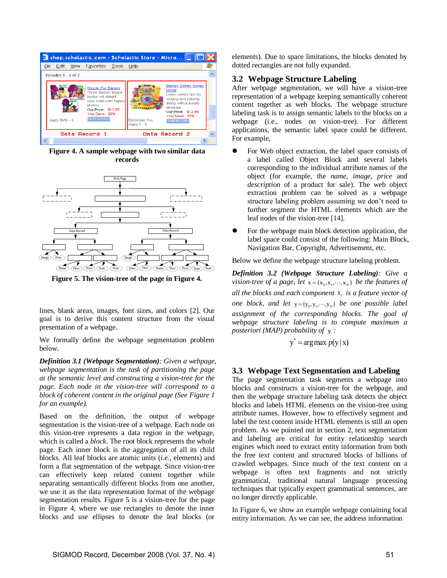

**Figure 4. A sample webpage with two similar data records** 



**Figure 5. The vision-tree of the page in Figure 4.**

lines, blank areas, images, font sizes, and colors [2]. Our goal is to derive this content structure from the visual **.** presentation of a webpage.

We formally define the webpage segmentation problem below.

*Definition 3.1 (Webpage Segmentation): Given a webpage, webpage segmentation is the task of partitioning the page at the semantic level and constructing a vision-tree for the page. Each node in the vision-tree will correspond to a block of coherent content in the original page (See Figure 1 for an example).* 

Based on the definition, the output of webpage segmentation is the vision-tree of a webpage. Each node on this vision-tree represents a data region in the webpage, which is called a *block*. The root block represents the whole page. Each inner block is the aggregation of all its child blocks. All leaf blocks are atomic units (*i.e.,* elements) and form a flat segmentation of the webpage. Since vision-tree can effectively keep related content together while separating semantically different blocks from one another, we use it as the data representation format of the webpage segmentation results. Figure 5 is a vision-tree for the page in Figure 4, where we use rectangles to denote the inner blocks and use ellipses to denote the leaf blocks (or

elements). Due to space limitations, the blocks denoted by dotted rectangles are not fully expanded.

# **3.2 Webpage Structure Labeling**

After webpage segmentation, we will have a vision-tree representation of a webpage keeping semantically coherent content together as web blocks. The webpage structure labeling task is to assign semantic labels to the blocks on a webpage (i.e., nodes on vision-tree). For different applications, the semantic label space could be different. For example,

- For Web object extraction, the label space consists of a label called Object Block and several labels corresponding to the individual attribute names of the object (for example, the *name*, *image*, *price* and *description* of a product for sale). The web object extraction problem can be solved as a webpage structure labeling problem assuming we don't need to further segment the HTML elements which are the leaf nodes of the vision-tree [14].
- For the webpage main block detection application, the label space could consist of the following: Main Block, Navigation Bar, Copyright, Advertisement, etc.

Below we define the webpage structure labeling problem.

*Definition 3.2 (Webpage Structure Labeling): Give a vision-tree of a page, let*  $x = \{x_0, x_1, \dots, x_N\}$  *be the features of all the blocks and each component*  x*i is a feature vector of one block, and let*  $y = {y_0, y_1, \dots, y_N}$  *be one possible label assignment of the corresponding blocks. The goal of webpage structure labeling is to compute maximum a posteriori (MAP) probability of*  y *:* 

$$
y^* = \arg\max p(y | x)
$$

### **3.3 Webpage Text Segmentation and Labeling**

The page segmentation task segments a webpage into blocks and constructs a vision-tree for the webpage, and then the webpage structure labeling task detects the object blocks and labels HTML elements on the vision-tree using attribute names. However, how to effectively segment and label the text content inside HTML elements is still an open problem. As we pointed out in section 2, text segmentation and labeling are critical for entity relationship search engines which need to extract entity information from both the free text content and structured blocks of billions of crawled webpages. Since much of the text content on a webpage is often text fragments and not strictly grammatical, traditional natural language processing techniques that typically expect grammatical sentences, are no longer directly applicable.

In Figure 6, we show an example webpage containing local entity information. As we can see, the address information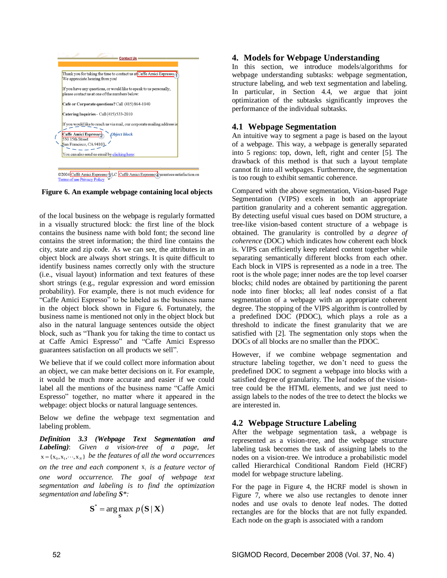

**Figure 6. An example webpage containing local objects** 

of the local business on the webpage is regularly formatted in a visually structured block: the first line of the block contains the business name with bold font; the second line contains the street information; the third line contains the city, state and zip code. As we can see, the attributes in an object block are always short strings. It is quite difficult to identify business names correctly only with the structure (i.e., visual layout) information and text features of these short strings (e.g., regular expression and word emission probability). For example, there is not much evidence for "Caffe Amici Espresso" to be labeled as the business name in the object block shown in Figure 6. Fortunately, the business name is mentioned not only in the object block but also in the natural language sentences outside the object block, such as "Thank you for taking the time to contact us at Caffe Amici Espresso" and "Caffe Amici Espresso guarantees satisfaction on all products we sell".

We believe that if we could collect more information about an object, we can make better decisions on it. For example, it would be much more accurate and easier if we could label all the mentions of the business name "Caffe Amici Espresso" together, no matter where it appeared in the webpage: object blocks or natural language sentences.

Below we define the webpage text segmentation and labeling problem.

*Definition 3.3 (Webpage Text Segmentation and Labeling)*: *Given a vision-tree of a page, let*   $x = {x_0, x_1, \dots, x_N}$  be the features of all the word occurrences *on the tree and each component*  x*i is a feature vector of one word occurrence. The goal of webpage text segmentation and labeling is to find the optimization segmentation and labeling S\*:* 

$$
\mathbf{S}^* = \arg\max_{\mathbf{S}} p(\mathbf{S} \mid \mathbf{X})
$$

# **4. Models for Webpage Understanding**

In this section, we introduce models/algorithms for webpage understanding subtasks: webpage segmentation, structure labeling, and web text segmentation and labeling. In particular, in Section 4.4, we argue that joint optimization of the subtasks significantly improves the performance of the individual subtasks.

# **4.1 Webpage Segmentation**

An intuitive way to segment a page is based on the layout of a webpage. This way, a webpage is generally separated into 5 regions: top, down, left, right and center [5]. The drawback of this method is that such a layout template cannot fit into all webpages. Furthermore, the segmentation is too rough to exhibit semantic coherence.

Compared with the above segmentation, Vision-based Page Segmentation (VIPS) excels in both an appropriate partition granularity and a coherent semantic aggregation. By detecting useful visual cues based on DOM structure, a tree-like vision-based content structure of a webpage is obtained. The granularity is controlled by *a degree of coherence* (DOC) which indicates how coherent each block is. VIPS can efficiently keep related content together while separating semantically different blocks from each other. Each block in VIPS is represented as a node in a tree. The root is the whole page; inner nodes are the top level coarser blocks; child nodes are obtained by partitioning the parent node into finer blocks; all leaf nodes consist of a flat segmentation of a webpage with an appropriate coherent degree. The stopping of the VIPS algorithm is controlled by a predefined DOC (PDOC), which plays a role as a threshold to indicate the finest granularity that we are satisfied with [2]. The segmentation only stops when the DOCs of all blocks are no smaller than the PDOC.

However, if we combine webpage segmentation and structure labeling together, we don't need to guess the predefined DOC to segment a webpage into blocks with a satisfied degree of granularity. The leaf nodes of the visiontree could be the HTML elements, and we just need to assign labels to the nodes of the tree to detect the blocks we are interested in.

# **4.2 Webpage Structure Labeling**

After the webpage segmentation task, a webpage is represented as a vision-tree, and the webpage structure labeling task becomes the task of assigning labels to the nodes on a vision-tree. We introduce a probabilistic model called Hierarchical Conditional Random Field (HCRF) model for webpage structure labeling.

For the page in Figure 4, the HCRF model is shown in Figure 7, where we also use rectangles to denote inner nodes and use ovals to denote leaf nodes. The dotted rectangles are for the blocks that are not fully expanded. Each node on the graph is associated with a random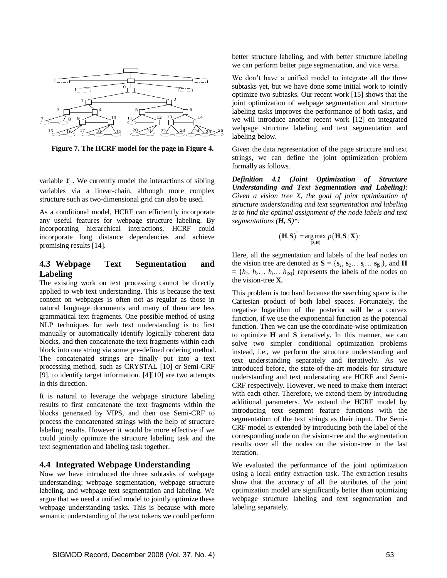

**Figure 7. The HCRF model for the page in Figure 4.**

variable  $Y_i$ . We currently model the interactions of sibling variables via a linear-chain, although more complex structure such as two-dimensional grid can also be used.

As a conditional model, HCRF can efficiently incorporate any useful features for webpage structure labeling. By incorporating hierarchical interactions, HCRF could incorporate long distance dependencies and achieve promising results [14].

# **4.3 Webpage Text Segmentation and Labeling**

The existing work on text processing cannot be directly applied to web text understanding. This is because the text content on webpages is often not as regular as those in natural language documents and many of them are less grammatical text fragments. One possible method of using NLP techniques for web text understanding is to first manually or automatically identify logically coherent data blocks, and then concatenate the text fragments within each block into one string via some pre-defined ordering method. The concatenated strings are finally put into a text processing method, such as CRYSTAL [10] or Semi-CRF [9], to identify target information. [4][10] are two attempts in this direction.

It is natural to leverage the webpage structure labeling results to first concatenate the text fragments within the blocks generated by VIPS, and then use Semi-CRF to process the concatenated strings with the help of structure labeling results. However it would be more effective if we could jointly optimize the structure labeling task and the text segmentation and labeling task together.

## **4.4 Integrated Webpage Understanding**

Now we have introduced the three subtasks of webpage understanding: webpage segmentation, webpage structure labeling, and webpage text segmentation and labeling. We argue that we need a unified model to jointly optimize these webpage understanding tasks. This is because with more semantic understanding of the text tokens we could perform better structure labeling, and with better structure labeling we can perform better page segmentation, and vice versa.

We don't have a unified model to integrate all the three subtasks yet, but we have done some initial work to jointly optimize two subtasks. Our recent work [15] shows that the joint optimization of webpage segmentation and structure labeling tasks improves the performance of both tasks, and we will introduce another recent work [12] on integrated webpage structure labeling and text segmentation and labeling below.

Given the data representation of the page structure and text strings, we can define the joint optimization problem formally as follows.

*Definition 4.1 (Joint Optimization of Structure Understanding and Text Segmentation and Labeling)*: *Given a vision tree X, the goal of joint optimization of structure understanding and text segmentation and labeling is to find the optimal assignment of the node labels and text segmentations (H, S)\*:* 

$$
(\mathbf{H}, \mathbf{S})^* = \underset{\mathbf{(S}, \mathbf{H})}{\arg \max} p(\mathbf{H}, \mathbf{S} | \mathbf{X}) \cdot
$$

Here, all the segmentation and labels of the leaf nodes on the vision tree are denoted as  $S = \{s_1, s_2, \ldots s_i, \ldots s_{|S|}\}\)$ , and **H**  $= \{h_1, h_2, \ldots, h_i, \ldots, h_{|\mathbf{X}|}\}$  represents the labels of the nodes on the vision-tree **X.**

This problem is too hard because the searching space is the Cartesian product of both label spaces. Fortunately, the negative logarithm of the posterior will be a convex function, if we use the exponential function as the potential function. Then we can use the coordinate-wise optimization to optimize **H** and **S** iteratively. In this manner, we can solve two simpler conditional optimization problems instead, i.e., we perform the structure understanding and text understanding separately and iteratively. As we introduced before, the state-of-the-art models for structure understanding and text understating are HCRF and Semi-CRF respectively. However, we need to make them interact with each other. Therefore, we extend them by introducing additional parameters. We extend the HCRF model by introducing text segment feature functions with the segmentation of the text strings as their input. The Semi-CRF model is extended by introducing both the label of the corresponding node on the vision-tree and the segmentation results over all the nodes on the vision-tree in the last iteration.

We evaluated the performance of the joint optimization using a local entity extraction task. The extraction results show that the accuracy of all the attributes of the joint optimization model are significantly better than optimizing webpage structure labeling and text segmentation and labeling separately.